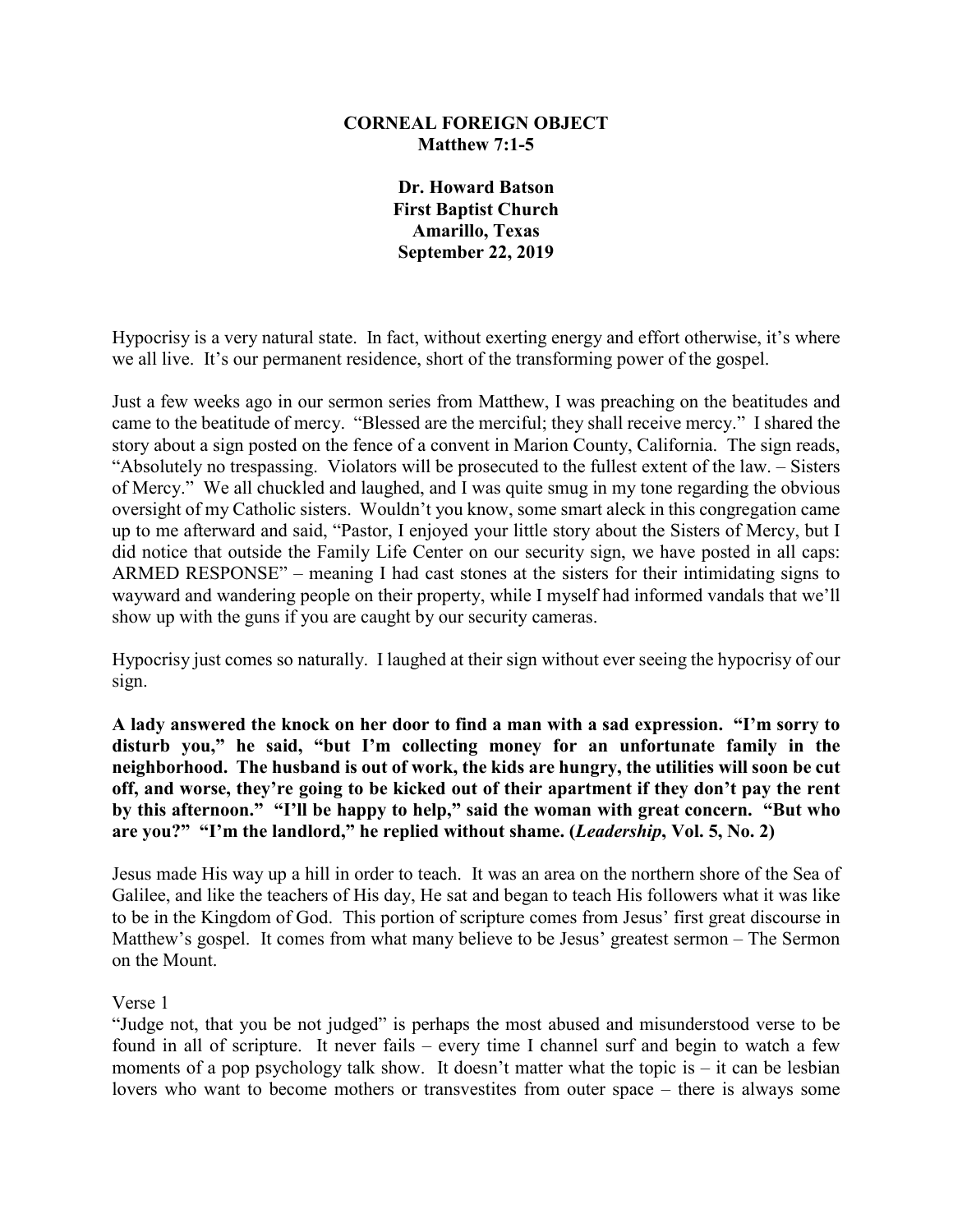## **CORNEAL FOREIGN OBJECT Matthew 7:1-5**

**Dr. Howard Batson First Baptist Church Amarillo, Texas September 22, 2019**

Hypocrisy is a very natural state. In fact, without exerting energy and effort otherwise, it's where we all live. It's our permanent residence, short of the transforming power of the gospel.

Just a few weeks ago in our sermon series from Matthew, I was preaching on the beatitudes and came to the beatitude of mercy. "Blessed are the merciful; they shall receive mercy." I shared the story about a sign posted on the fence of a convent in Marion County, California. The sign reads, "Absolutely no trespassing. Violators will be prosecuted to the fullest extent of the law. – Sisters of Mercy." We all chuckled and laughed, and I was quite smug in my tone regarding the obvious oversight of my Catholic sisters. Wouldn't you know, some smart aleck in this congregation came up to me afterward and said, "Pastor, I enjoyed your little story about the Sisters of Mercy, but I did notice that outside the Family Life Center on our security sign, we have posted in all caps: ARMED RESPONSE" – meaning I had cast stones at the sisters for their intimidating signs to wayward and wandering people on their property, while I myself had informed vandals that we'll show up with the guns if you are caught by our security cameras.

Hypocrisy just comes so naturally. I laughed at their sign without ever seeing the hypocrisy of our sign.

**A lady answered the knock on her door to find a man with a sad expression. "I'm sorry to disturb you," he said, "but I'm collecting money for an unfortunate family in the neighborhood. The husband is out of work, the kids are hungry, the utilities will soon be cut off, and worse, they're going to be kicked out of their apartment if they don't pay the rent by this afternoon." "I'll be happy to help," said the woman with great concern. "But who are you?" "I'm the landlord," he replied without shame. (***Leadership***, Vol. 5, No. 2)**

Jesus made His way up a hill in order to teach. It was an area on the northern shore of the Sea of Galilee, and like the teachers of His day, He sat and began to teach His followers what it was like to be in the Kingdom of God. This portion of scripture comes from Jesus' first great discourse in Matthew's gospel. It comes from what many believe to be Jesus' greatest sermon – The Sermon on the Mount.

## Verse 1

"Judge not, that you be not judged" is perhaps the most abused and misunderstood verse to be found in all of scripture. It never fails – every time I channel surf and begin to watch a few moments of a pop psychology talk show. It doesn't matter what the topic is  $-$  it can be lesbian lovers who want to become mothers or transvestites from outer space – there is always some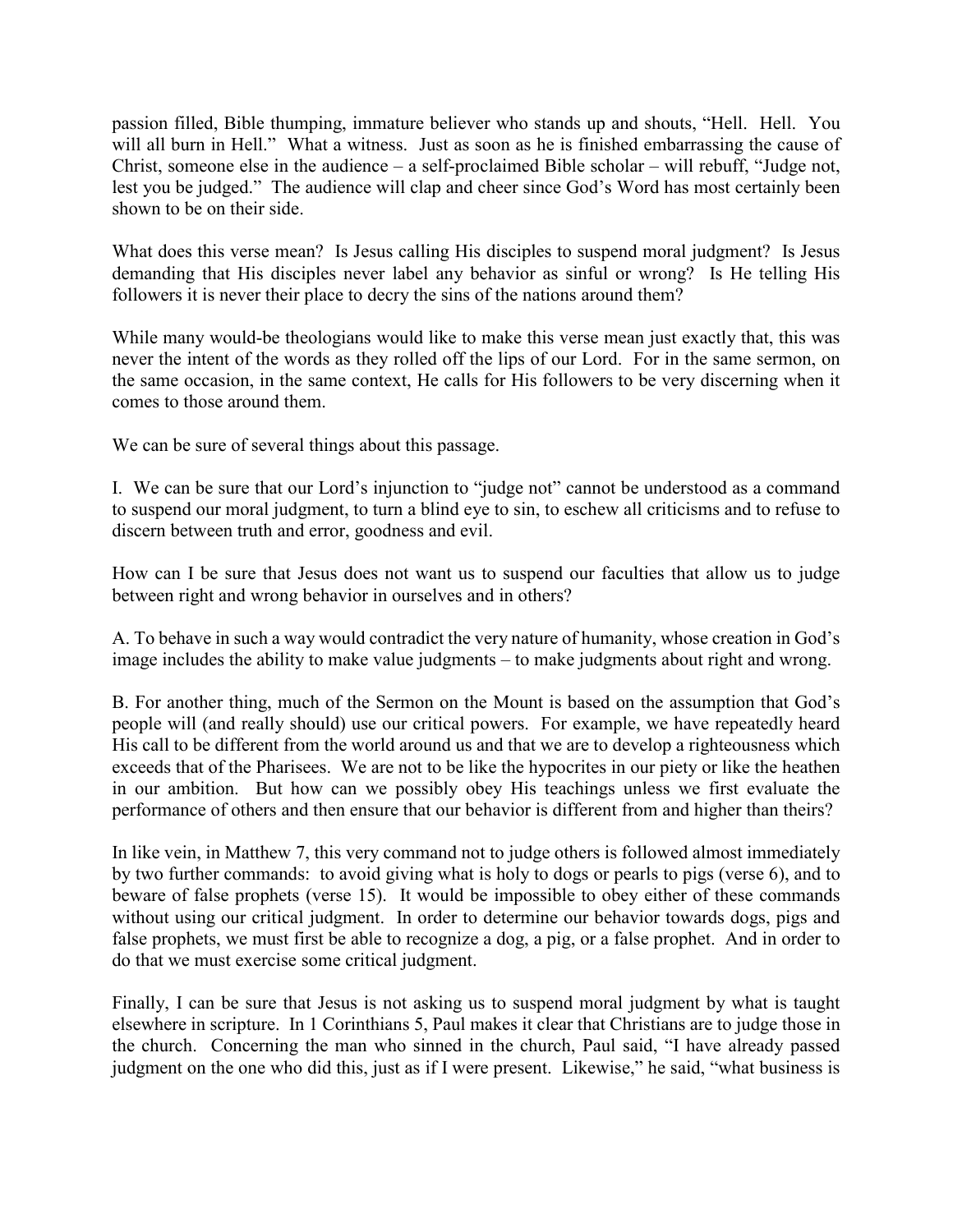passion filled, Bible thumping, immature believer who stands up and shouts, "Hell. Hell. You will all burn in Hell." What a witness. Just as soon as he is finished embarrassing the cause of Christ, someone else in the audience – a self-proclaimed Bible scholar – will rebuff, "Judge not, lest you be judged." The audience will clap and cheer since God's Word has most certainly been shown to be on their side.

What does this verse mean? Is Jesus calling His disciples to suspend moral judgment? Is Jesus demanding that His disciples never label any behavior as sinful or wrong? Is He telling His followers it is never their place to decry the sins of the nations around them?

While many would-be theologians would like to make this verse mean just exactly that, this was never the intent of the words as they rolled off the lips of our Lord. For in the same sermon, on the same occasion, in the same context, He calls for His followers to be very discerning when it comes to those around them.

We can be sure of several things about this passage.

I. We can be sure that our Lord's injunction to "judge not" cannot be understood as a command to suspend our moral judgment, to turn a blind eye to sin, to eschew all criticisms and to refuse to discern between truth and error, goodness and evil.

How can I be sure that Jesus does not want us to suspend our faculties that allow us to judge between right and wrong behavior in ourselves and in others?

A. To behave in such a way would contradict the very nature of humanity, whose creation in God's image includes the ability to make value judgments – to make judgments about right and wrong.

B. For another thing, much of the Sermon on the Mount is based on the assumption that God's people will (and really should) use our critical powers. For example, we have repeatedly heard His call to be different from the world around us and that we are to develop a righteousness which exceeds that of the Pharisees. We are not to be like the hypocrites in our piety or like the heathen in our ambition. But how can we possibly obey His teachings unless we first evaluate the performance of others and then ensure that our behavior is different from and higher than theirs?

In like vein, in Matthew 7, this very command not to judge others is followed almost immediately by two further commands: to avoid giving what is holy to dogs or pearls to pigs (verse 6), and to beware of false prophets (verse 15). It would be impossible to obey either of these commands without using our critical judgment. In order to determine our behavior towards dogs, pigs and false prophets, we must first be able to recognize a dog, a pig, or a false prophet. And in order to do that we must exercise some critical judgment.

Finally, I can be sure that Jesus is not asking us to suspend moral judgment by what is taught elsewhere in scripture. In 1 Corinthians 5, Paul makes it clear that Christians are to judge those in the church. Concerning the man who sinned in the church, Paul said, "I have already passed judgment on the one who did this, just as if I were present. Likewise," he said, "what business is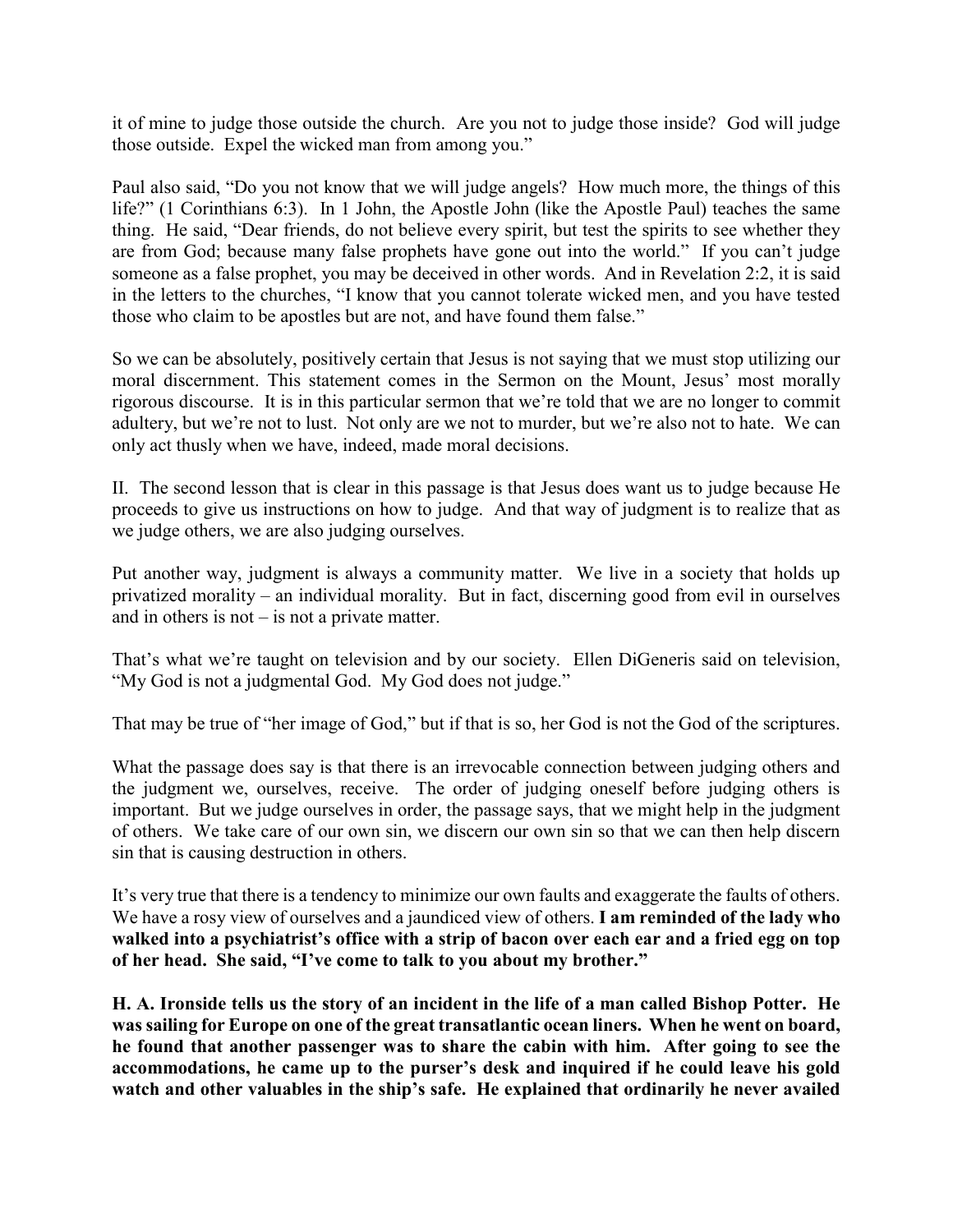it of mine to judge those outside the church. Are you not to judge those inside? God will judge those outside. Expel the wicked man from among you."

Paul also said, "Do you not know that we will judge angels? How much more, the things of this life?" (1 Corinthians 6:3). In 1 John, the Apostle John (like the Apostle Paul) teaches the same thing. He said, "Dear friends, do not believe every spirit, but test the spirits to see whether they are from God; because many false prophets have gone out into the world." If you can't judge someone as a false prophet, you may be deceived in other words. And in Revelation 2:2, it is said in the letters to the churches, "I know that you cannot tolerate wicked men, and you have tested those who claim to be apostles but are not, and have found them false."

So we can be absolutely, positively certain that Jesus is not saying that we must stop utilizing our moral discernment. This statement comes in the Sermon on the Mount, Jesus' most morally rigorous discourse. It is in this particular sermon that we're told that we are no longer to commit adultery, but we're not to lust. Not only are we not to murder, but we're also not to hate. We can only act thusly when we have, indeed, made moral decisions.

II. The second lesson that is clear in this passage is that Jesus does want us to judge because He proceeds to give us instructions on how to judge. And that way of judgment is to realize that as we judge others, we are also judging ourselves.

Put another way, judgment is always a community matter. We live in a society that holds up privatized morality – an individual morality. But in fact, discerning good from evil in ourselves and in others is not – is not a private matter.

That's what we're taught on television and by our society. Ellen DiGeneris said on television, "My God is not a judgmental God. My God does not judge."

That may be true of "her image of God," but if that is so, her God is not the God of the scriptures.

What the passage does say is that there is an irrevocable connection between judging others and the judgment we, ourselves, receive. The order of judging oneself before judging others is important. But we judge ourselves in order, the passage says, that we might help in the judgment of others. We take care of our own sin, we discern our own sin so that we can then help discern sin that is causing destruction in others.

It's very true that there is a tendency to minimize our own faults and exaggerate the faults of others. We have a rosy view of ourselves and a jaundiced view of others. **I am reminded of the lady who walked into a psychiatrist's office with a strip of bacon over each ear and a fried egg on top of her head. She said, "I've come to talk to you about my brother."**

**H. A. Ironside tells us the story of an incident in the life of a man called Bishop Potter. He was sailing for Europe on one of the great transatlantic ocean liners. When he went on board, he found that another passenger was to share the cabin with him. After going to see the accommodations, he came up to the purser's desk and inquired if he could leave his gold watch and other valuables in the ship's safe. He explained that ordinarily he never availed**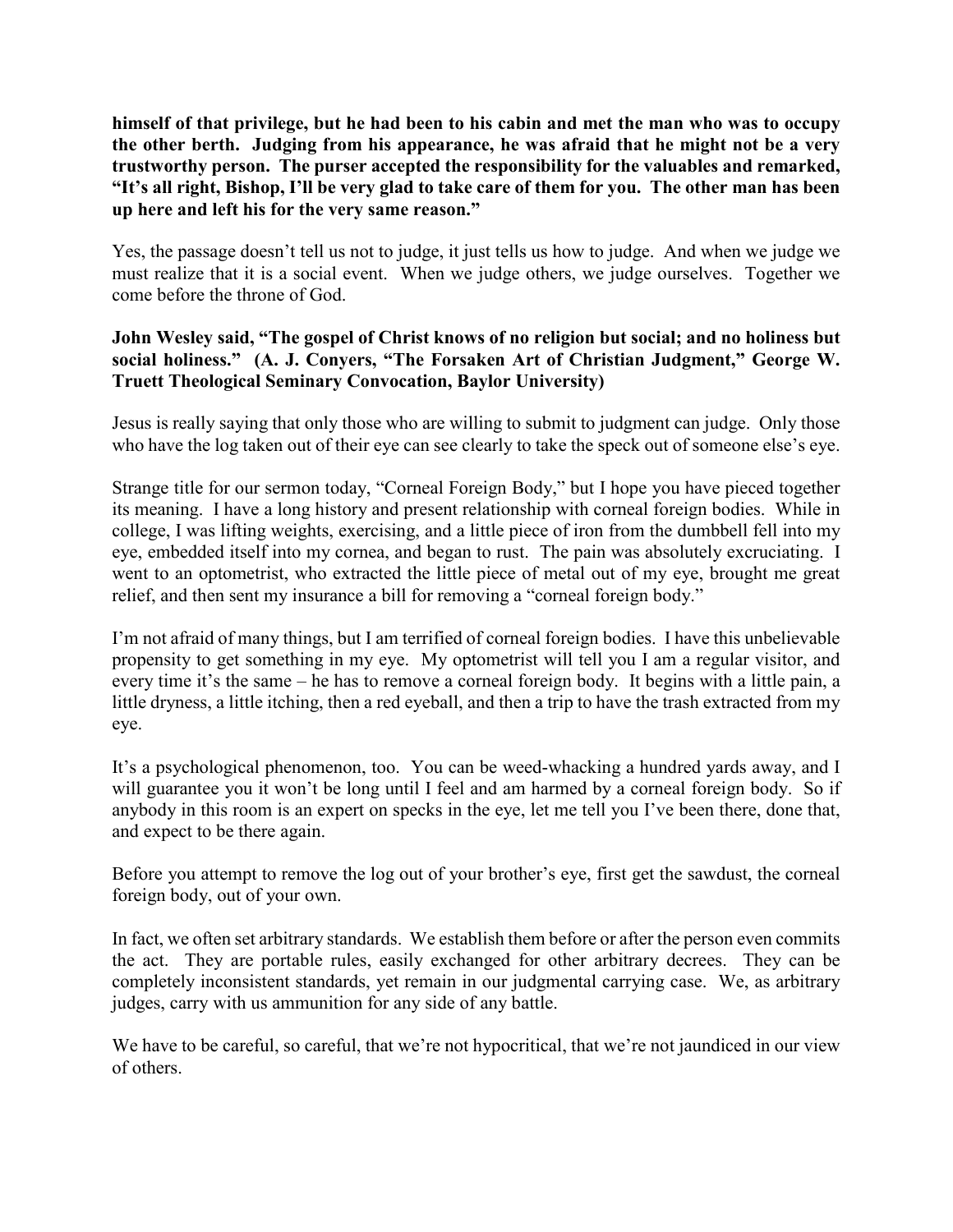**himself of that privilege, but he had been to his cabin and met the man who was to occupy the other berth. Judging from his appearance, he was afraid that he might not be a very trustworthy person. The purser accepted the responsibility for the valuables and remarked, "It's all right, Bishop, I'll be very glad to take care of them for you. The other man has been up here and left his for the very same reason."**

Yes, the passage doesn't tell us not to judge, it just tells us how to judge. And when we judge we must realize that it is a social event. When we judge others, we judge ourselves. Together we come before the throne of God.

## **John Wesley said, "The gospel of Christ knows of no religion but social; and no holiness but social holiness." (A. J. Conyers, "The Forsaken Art of Christian Judgment," George W. Truett Theological Seminary Convocation, Baylor University)**

Jesus is really saying that only those who are willing to submit to judgment can judge. Only those who have the log taken out of their eye can see clearly to take the speck out of someone else's eye.

Strange title for our sermon today, "Corneal Foreign Body," but I hope you have pieced together its meaning. I have a long history and present relationship with corneal foreign bodies. While in college, I was lifting weights, exercising, and a little piece of iron from the dumbbell fell into my eye, embedded itself into my cornea, and began to rust. The pain was absolutely excruciating. I went to an optometrist, who extracted the little piece of metal out of my eye, brought me great relief, and then sent my insurance a bill for removing a "corneal foreign body."

I'm not afraid of many things, but I am terrified of corneal foreign bodies. I have this unbelievable propensity to get something in my eye. My optometrist will tell you I am a regular visitor, and every time it's the same – he has to remove a corneal foreign body. It begins with a little pain, a little dryness, a little itching, then a red eyeball, and then a trip to have the trash extracted from my eye.

It's a psychological phenomenon, too. You can be weed-whacking a hundred yards away, and I will guarantee you it won't be long until I feel and am harmed by a corneal foreign body. So if anybody in this room is an expert on specks in the eye, let me tell you I've been there, done that, and expect to be there again.

Before you attempt to remove the log out of your brother's eye, first get the sawdust, the corneal foreign body, out of your own.

In fact, we often set arbitrary standards. We establish them before or after the person even commits the act. They are portable rules, easily exchanged for other arbitrary decrees. They can be completely inconsistent standards, yet remain in our judgmental carrying case. We, as arbitrary judges, carry with us ammunition for any side of any battle.

We have to be careful, so careful, that we're not hypocritical, that we're not jaundiced in our view of others.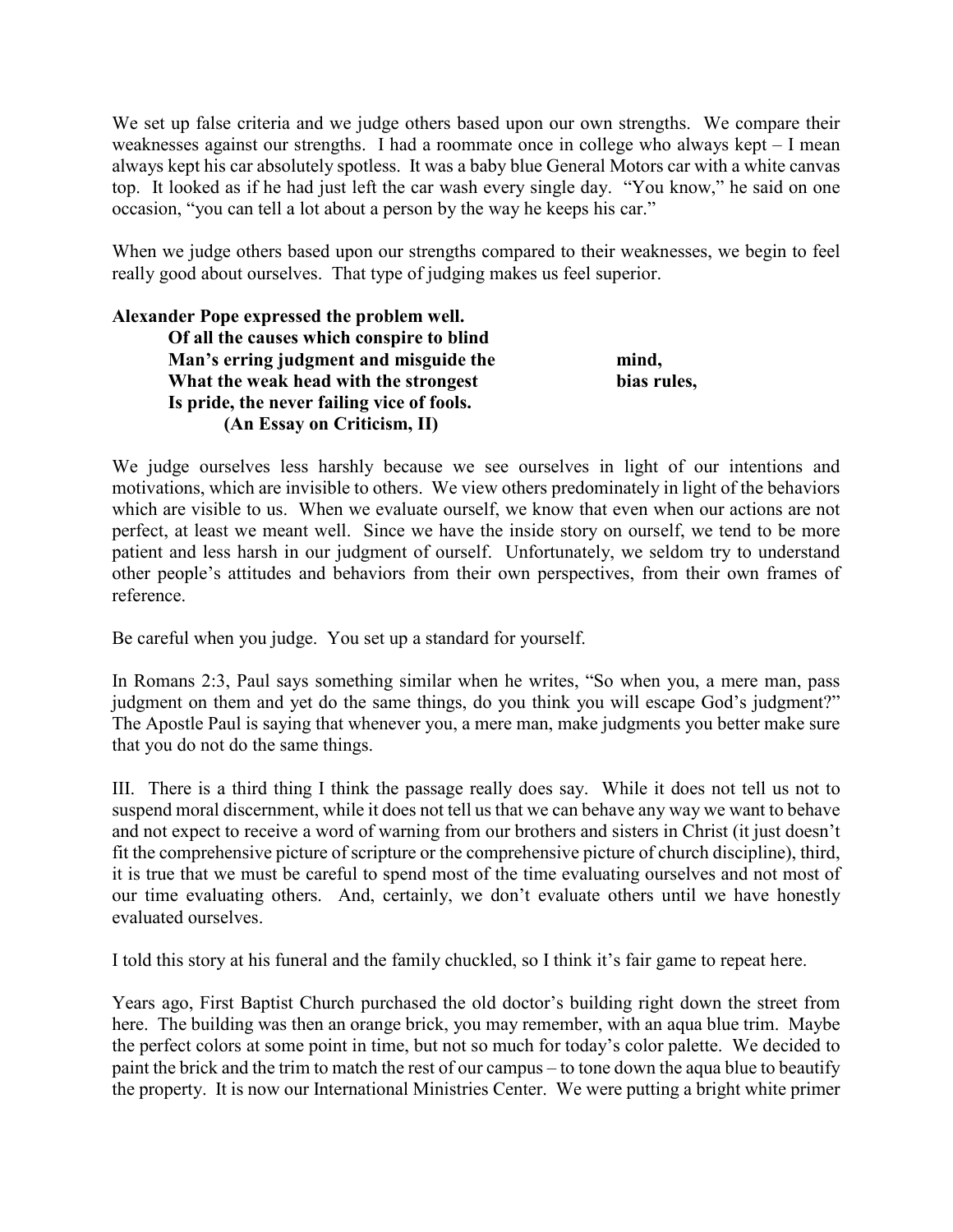We set up false criteria and we judge others based upon our own strengths. We compare their weaknesses against our strengths. I had a roommate once in college who always kept – I mean always kept his car absolutely spotless. It was a baby blue General Motors car with a white canvas top. It looked as if he had just left the car wash every single day. "You know," he said on one occasion, "you can tell a lot about a person by the way he keeps his car."

When we judge others based upon our strengths compared to their weaknesses, we begin to feel really good about ourselves. That type of judging makes us feel superior.

## **Alexander Pope expressed the problem well. Of all the causes which conspire to blind Man's erring judgment and misguide the mind, What the weak head with the strongest bias rules, Is pride, the never failing vice of fools. (An Essay on Criticism, II)**

We judge ourselves less harshly because we see ourselves in light of our intentions and motivations, which are invisible to others. We view others predominately in light of the behaviors which are visible to us. When we evaluate ourself, we know that even when our actions are not perfect, at least we meant well. Since we have the inside story on ourself, we tend to be more patient and less harsh in our judgment of ourself. Unfortunately, we seldom try to understand other people's attitudes and behaviors from their own perspectives, from their own frames of reference.

Be careful when you judge. You set up a standard for yourself.

In Romans 2:3, Paul says something similar when he writes, "So when you, a mere man, pass judgment on them and yet do the same things, do you think you will escape God's judgment?" The Apostle Paul is saying that whenever you, a mere man, make judgments you better make sure that you do not do the same things.

III. There is a third thing I think the passage really does say. While it does not tell us not to suspend moral discernment, while it does not tell us that we can behave any way we want to behave and not expect to receive a word of warning from our brothers and sisters in Christ (it just doesn't fit the comprehensive picture of scripture or the comprehensive picture of church discipline), third, it is true that we must be careful to spend most of the time evaluating ourselves and not most of our time evaluating others. And, certainly, we don't evaluate others until we have honestly evaluated ourselves.

I told this story at his funeral and the family chuckled, so I think it's fair game to repeat here.

Years ago, First Baptist Church purchased the old doctor's building right down the street from here. The building was then an orange brick, you may remember, with an aqua blue trim. Maybe the perfect colors at some point in time, but not so much for today's color palette. We decided to paint the brick and the trim to match the rest of our campus – to tone down the aqua blue to beautify the property. It is now our International Ministries Center. We were putting a bright white primer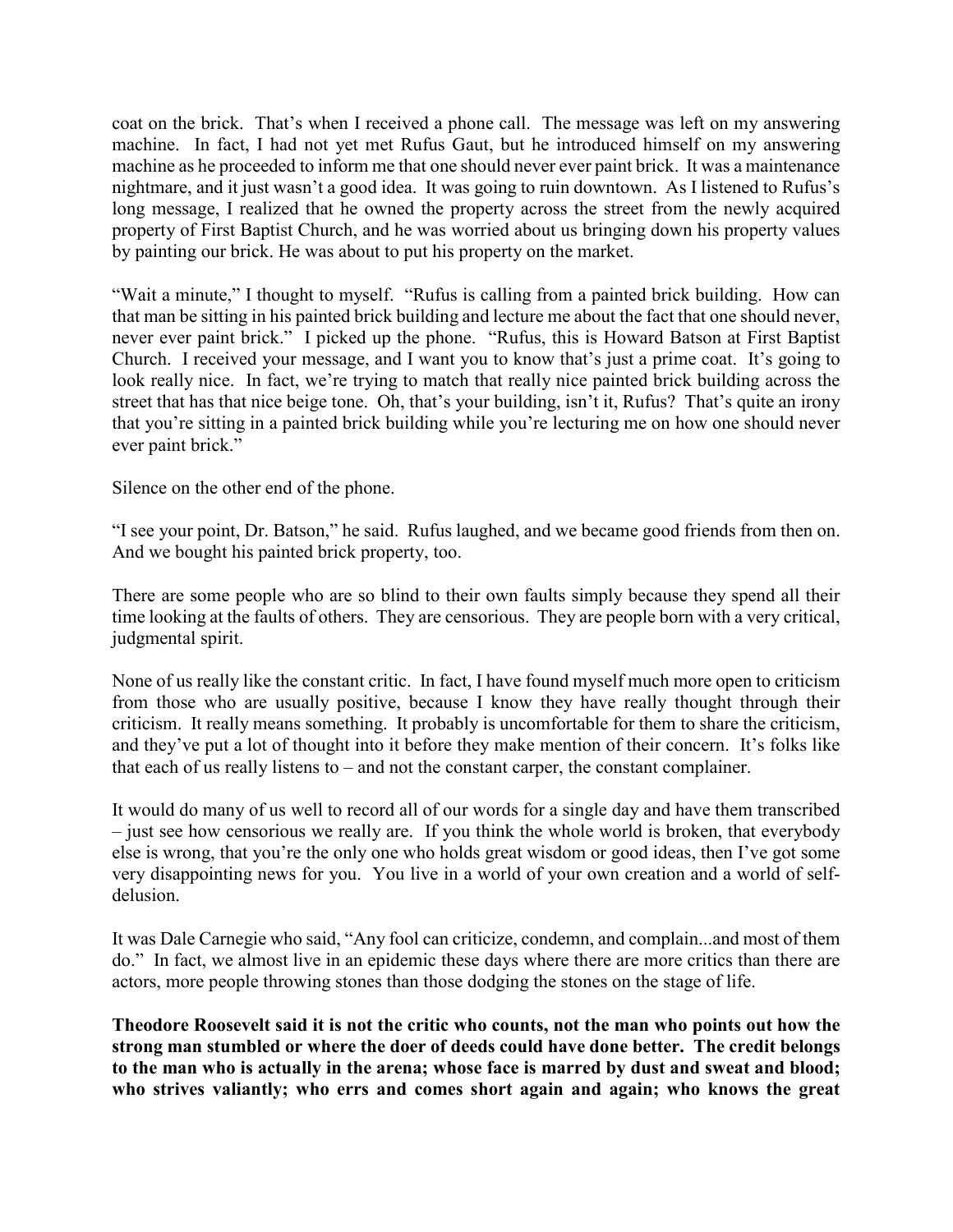coat on the brick. That's when I received a phone call. The message was left on my answering machine. In fact, I had not yet met Rufus Gaut, but he introduced himself on my answering machine as he proceeded to inform me that one should never ever paint brick. It was a maintenance nightmare, and it just wasn't a good idea. It was going to ruin downtown. As I listened to Rufus's long message, I realized that he owned the property across the street from the newly acquired property of First Baptist Church, and he was worried about us bringing down his property values by painting our brick. He was about to put his property on the market.

"Wait a minute," I thought to myself. "Rufus is calling from a painted brick building. How can that man be sitting in his painted brick building and lecture me about the fact that one should never, never ever paint brick." I picked up the phone. "Rufus, this is Howard Batson at First Baptist Church. I received your message, and I want you to know that's just a prime coat. It's going to look really nice. In fact, we're trying to match that really nice painted brick building across the street that has that nice beige tone. Oh, that's your building, isn't it, Rufus? That's quite an irony that you're sitting in a painted brick building while you're lecturing me on how one should never ever paint brick."

Silence on the other end of the phone.

"I see your point, Dr. Batson," he said. Rufus laughed, and we became good friends from then on. And we bought his painted brick property, too.

There are some people who are so blind to their own faults simply because they spend all their time looking at the faults of others. They are censorious. They are people born with a very critical, judgmental spirit.

None of us really like the constant critic. In fact, I have found myself much more open to criticism from those who are usually positive, because I know they have really thought through their criticism. It really means something. It probably is uncomfortable for them to share the criticism, and they've put a lot of thought into it before they make mention of their concern. It's folks like that each of us really listens to – and not the constant carper, the constant complainer.

It would do many of us well to record all of our words for a single day and have them transcribed – just see how censorious we really are. If you think the whole world is broken, that everybody else is wrong, that you're the only one who holds great wisdom or good ideas, then I've got some very disappointing news for you. You live in a world of your own creation and a world of selfdelusion.

It was Dale Carnegie who said, "Any fool can criticize, condemn, and complain...and most of them do." In fact, we almost live in an epidemic these days where there are more critics than there are actors, more people throwing stones than those dodging the stones on the stage of life.

**Theodore Roosevelt said it is not the critic who counts, not the man who points out how the strong man stumbled or where the doer of deeds could have done better. The credit belongs to the man who is actually in the arena; whose face is marred by dust and sweat and blood; who strives valiantly; who errs and comes short again and again; who knows the great**